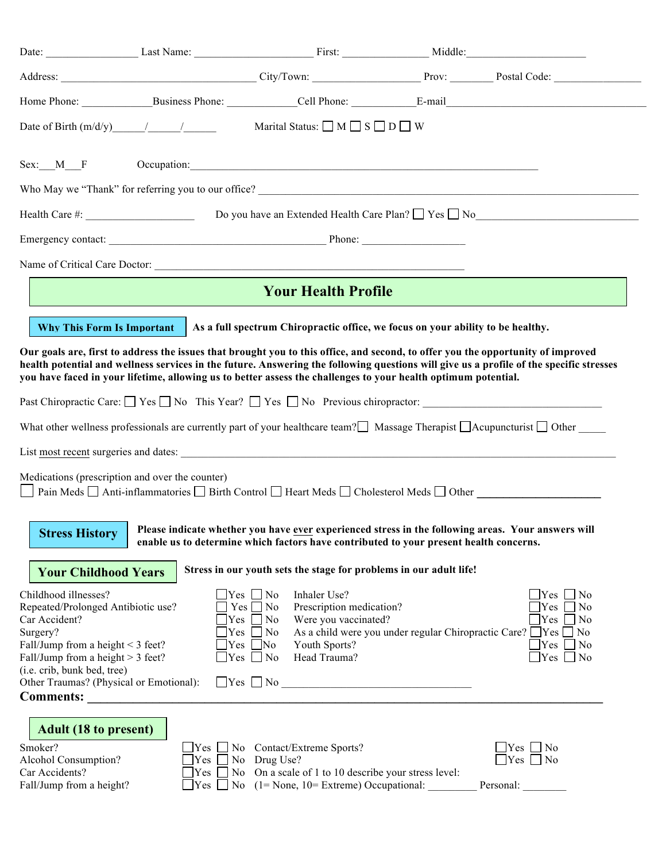|                                                                                                                                                                                                                                                                                                                                                                                               | Date of Birth $(m/d/y)$ / /    | Marital Status: $\Box$ M $\Box$ S $\Box$ D $\Box$ W                                                                                                                                                                           |  |                                                                                                                                                                                                       |  |  |  |  |  |
|-----------------------------------------------------------------------------------------------------------------------------------------------------------------------------------------------------------------------------------------------------------------------------------------------------------------------------------------------------------------------------------------------|--------------------------------|-------------------------------------------------------------------------------------------------------------------------------------------------------------------------------------------------------------------------------|--|-------------------------------------------------------------------------------------------------------------------------------------------------------------------------------------------------------|--|--|--|--|--|
| Sex: M F                                                                                                                                                                                                                                                                                                                                                                                      |                                | Occupation: experience of the contract of the contract of the contract of the contract of the contract of the contract of the contract of the contract of the contract of the contract of the contract of the contract of the |  |                                                                                                                                                                                                       |  |  |  |  |  |
|                                                                                                                                                                                                                                                                                                                                                                                               |                                |                                                                                                                                                                                                                               |  |                                                                                                                                                                                                       |  |  |  |  |  |
|                                                                                                                                                                                                                                                                                                                                                                                               |                                |                                                                                                                                                                                                                               |  |                                                                                                                                                                                                       |  |  |  |  |  |
|                                                                                                                                                                                                                                                                                                                                                                                               |                                |                                                                                                                                                                                                                               |  |                                                                                                                                                                                                       |  |  |  |  |  |
|                                                                                                                                                                                                                                                                                                                                                                                               |                                |                                                                                                                                                                                                                               |  |                                                                                                                                                                                                       |  |  |  |  |  |
| <b>Your Health Profile</b>                                                                                                                                                                                                                                                                                                                                                                    |                                |                                                                                                                                                                                                                               |  |                                                                                                                                                                                                       |  |  |  |  |  |
| As a full spectrum Chiropractic office, we focus on your ability to be healthy.<br>Why This Form Is Important                                                                                                                                                                                                                                                                                 |                                |                                                                                                                                                                                                                               |  |                                                                                                                                                                                                       |  |  |  |  |  |
| Our goals are, first to address the issues that brought you to this office, and second, to offer you the opportunity of improved<br>health potential and wellness services in the future. Answering the following questions will give us a profile of the specific stresses<br>you have faced in your lifetime, allowing us to better assess the challenges to your health optimum potential. |                                |                                                                                                                                                                                                                               |  |                                                                                                                                                                                                       |  |  |  |  |  |
|                                                                                                                                                                                                                                                                                                                                                                                               |                                |                                                                                                                                                                                                                               |  |                                                                                                                                                                                                       |  |  |  |  |  |
| What other wellness professionals are currently part of your healthcare team? Massage Therapist $\Box$ Acupuncturist $\Box$ Other                                                                                                                                                                                                                                                             |                                |                                                                                                                                                                                                                               |  |                                                                                                                                                                                                       |  |  |  |  |  |
|                                                                                                                                                                                                                                                                                                                                                                                               |                                |                                                                                                                                                                                                                               |  |                                                                                                                                                                                                       |  |  |  |  |  |
| Medications (prescription and over the counter)<br>Pain Meds □ Anti-inflammatories □ Birth Control □ Heart Meds □ Cholesterol Meds □ Other                                                                                                                                                                                                                                                    |                                |                                                                                                                                                                                                                               |  |                                                                                                                                                                                                       |  |  |  |  |  |
| Please indicate whether you have ever experienced stress in the following areas. Your answers will<br><b>Stress History</b><br>enable us to determine which factors have contributed to your present health concerns.                                                                                                                                                                         |                                |                                                                                                                                                                                                                               |  |                                                                                                                                                                                                       |  |  |  |  |  |
| <b>Your Childhood Years</b>                                                                                                                                                                                                                                                                                                                                                                   |                                | Stress in our youth sets the stage for problems in our adult life!                                                                                                                                                            |  |                                                                                                                                                                                                       |  |  |  |  |  |
| Childhood illnesses?<br>Repeated/Prolonged Antibiotic use?<br>Car Accident?<br>Surgery?<br>Fall/Jump from a height $<$ 3 feet?<br>Fall/Jump from a height $> 3$ feet?<br>(i.e. crib, bunk bed, tree)<br>Other Traumas? (Physical or Emotional):                                                                                                                                               | Yes<br> Yes                    | $\exists$ Yes $\Box$ No<br>Inhaler Use?<br>$Yes \tNo$<br>Prescription medication?<br>Were you vaccinated?<br>$\exists$ Yes $\Box$ No<br>$\Box$ No<br>$\Box$ No<br>Youth Sports?<br>Head Trauma?<br>$\exists$ Yes $\Box$ No    |  | $\Box$ Yes<br>$\Box$ No<br>$\exists$ Yes<br>N <sub>0</sub><br>$\exists$ Yes<br>$\Box$ No<br>As a child were you under regular Chiropractic Care? These No<br>Yes<br>$\Box$ No<br>$\Box$ Yes $\Box$ No |  |  |  |  |  |
| <b>Adult (18 to present)</b><br>Smoker?<br>Alcohol Consumption?<br>Car Accidents?<br>Fall/Jump from a height?                                                                                                                                                                                                                                                                                 | $Yes \Box$<br>Yes<br>Yes<br>No | $\text{Yes}$ No Contact/Extreme Sports?<br>No Drug Use?<br>On a scale of 1 to 10 describe your stress level:<br>No<br>$(1 = None, 10 = Extreme) Occupational:$                                                                |  | $\Box$ No<br>Yes<br>$\Box$ Yes $\Box$ No<br>Personal:                                                                                                                                                 |  |  |  |  |  |